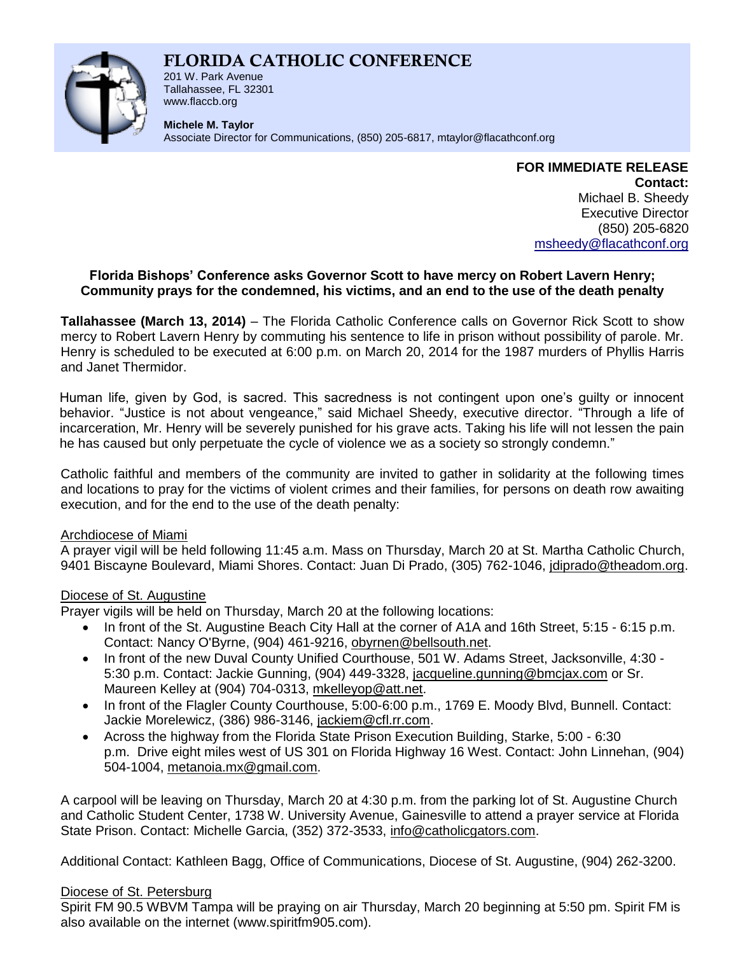# **FLORIDA CATHOLIC CONFERENCE**



201 W. Park Avenue Tallahassee, FL 32301 www.flaccb.org

**Michele M. Taylor**

Associate Director for Communications, (850) 205-6817, [mtaylor@flacathconf.org](mailto:mtaylor@flacathconf.org)

**FOR IMMEDIATE RELEASE Contact:** Michael B. Sheedy Executive Director (850) 205-6820 [msheedy@flacathconf.org](mailto:msheedy@flacathconf.org)

# **Florida Bishops' Conference asks Governor Scott to have mercy on Robert Lavern Henry; Community prays for the condemned, his victims, and an end to the use of the death penalty**

**Tallahassee (March 13, 2014)** – The Florida Catholic Conference calls on Governor Rick Scott to show mercy to Robert Lavern Henry by commuting his sentence to life in prison without possibility of parole. Mr. Henry is scheduled to be executed at 6:00 p.m. on March 20, 2014 for the 1987 murders of Phyllis Harris and Janet Thermidor.

Human life, given by God, is sacred. This sacredness is not contingent upon one's guilty or innocent behavior. "Justice is not about vengeance," said Michael Sheedy, executive director. "Through a life of incarceration, Mr. Henry will be severely punished for his grave acts. Taking his life will not lessen the pain he has caused but only perpetuate the cycle of violence we as a society so strongly condemn."

Catholic faithful and members of the community are invited to gather in solidarity at the following times and locations to pray for the victims of violent crimes and their families, for persons on death row awaiting execution, and for the end to the use of the death penalty:

# Archdiocese of Miami

A prayer vigil will be held following 11:45 a.m. Mass on Thursday, March 20 at St. Martha Catholic Church, 9401 Biscayne Boulevard, Miami Shores. Contact: Juan Di Prado, (305) 762-1046, [jdiprado@theadom.org.](mailto:jdiprado@theadom.org)

# Diocese of St. Augustine

Prayer vigils will be held on Thursday, March 20 at the following locations:

- In front of the St. Augustine Beach City Hall at the corner of A1A and 16th Street, 5:15 6:15 p.m. Contact: Nancy O'Byrne, (904) 461-9216, [obyrnen@bellsouth.net.](http://us.mc1850.mail.yahoo.com/mc/compose?to=obyrnen@bellsouth.net)
- In front of the new Duval County Unified Courthouse, 501 W. Adams Street, Jacksonville, 4:30 -5:30 p.m. Contact: Jackie Gunning, (904) 449-3328, [jacqueline.gunning@bmcjax.com](mailto:jacqueline.gunning@bmcjax.com) or Sr. Maureen Kelley at (904) 704-0313, [mkelleyop@att.net.](mailto:mkelleyop@att.net)
- In front of the Flagler County Courthouse, 5:00-6:00 p.m., 1769 E. Moody Blvd, Bunnell. Contact: Jackie Morelewicz, (386) 986-3146, [jackiem@cfl.rr.com.](mailto:jackiem@cfl.rr.com)
- Across the highway from the Florida State Prison Execution Building, Starke, 5:00 6:30 p.m. Drive eight miles west of US 301 on Florida Highway 16 West. Contact: John Linnehan, (904) 504-1004, [metanoia.mx@gmail.com.](mailto:metanoia.mx@gmail.com)

A carpool will be leaving on Thursday, March 20 at 4:30 p.m. from the parking lot of St. Augustine Church and Catholic Student Center, 1738 W. University Avenue, Gainesville to attend a prayer service at Florida State Prison. Contact: Michelle Garcia, (352) 372-3533, [info@catholicgators.com.](mailto:info@catholicgators.com)

Additional Contact: Kathleen Bagg, Office of Communications, Diocese of St. Augustine, (904) 262-3200.

### Diocese of St. Petersburg

Spirit FM 90.5 WBVM Tampa will be praying on air Thursday, March 20 beginning at 5:50 pm. Spirit FM is also available on the internet (www.spiritfm905.com).